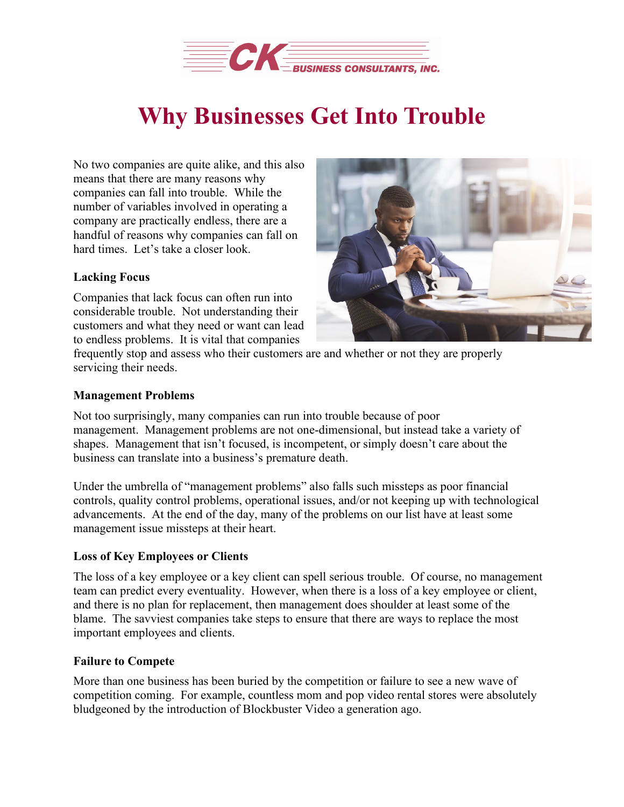

# **Why Businesses Get Into Trouble**

No two companies are quite alike, and this also means that there are many reasons why companies can fall into trouble. While the number of variables involved in operating a company are practically endless, there are a handful of reasons why companies can fall on hard times. Let's take a closer look.

# **Lacking Focus**

Companies that lack focus can often run into considerable trouble. Not understanding their customers and what they need or want can lead to endless problems. It is vital that companies



frequently stop and assess who their customers are and whether or not they are properly servicing their needs.

### **Management Problems**

Not too surprisingly, many companies can run into trouble because of poor management. Management problems are not one-dimensional, but instead take a variety of shapes. Management that isn't focused, is incompetent, or simply doesn't care about the business can translate into a business's premature death.

Under the umbrella of "management problems" also falls such missteps as poor financial controls, quality control problems, operational issues, and/or not keeping up with technological advancements. At the end of the day, many of the problems on our list have at least some management issue missteps at their heart.

# **Loss of Key Employees or Clients**

The loss of a key employee or a key client can spell serious trouble. Of course, no management team can predict every eventuality. However, when there is a loss of a key employee or client, and there is no plan for replacement, then management does shoulder at least some of the blame. The savviest companies take steps to ensure that there are ways to replace the most important employees and clients.

# **Failure to Compete**

More than one business has been buried by the competition or failure to see a new wave of competition coming. For example, countless mom and pop video rental stores were absolutely bludgeoned by the introduction of Blockbuster Video a generation ago.